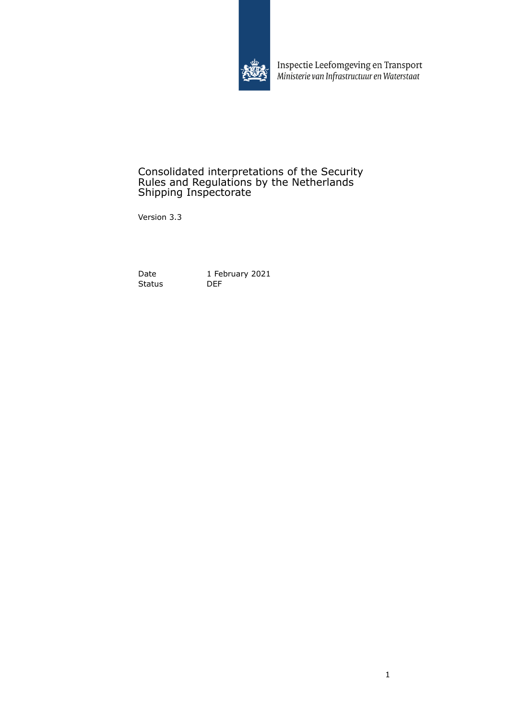

Inspectie Leefomgeving en Transport<br>Ministerie van Infrastructuur en Waterstaat

### Consolidated interpretations of the Security Rules and Regulations by the Netherlands Shipping Inspectorate

Version 3.3

Status 1 Fe

Date 1 February 2021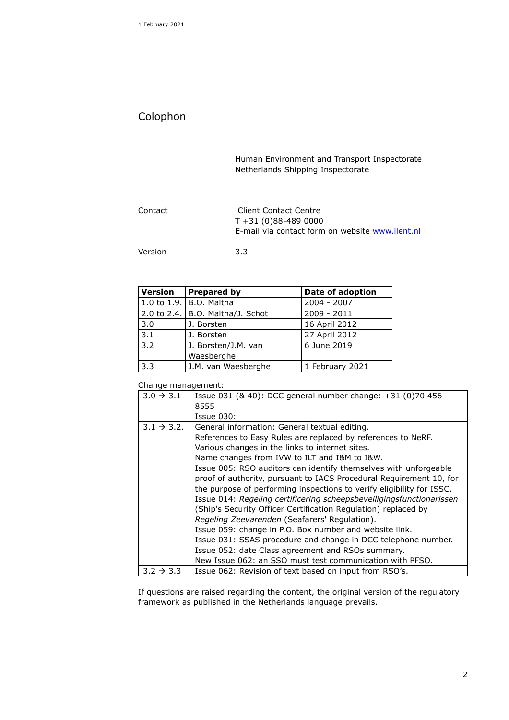# Colophon

Human Environment and Transport Inspectorate Netherlands Shipping Inspectorate

| Contact | Client Contact Centre<br>$T + 31(0)88 - 489000$<br>E-mail via contact form on website www.ilent.nl |
|---------|----------------------------------------------------------------------------------------------------|
| Version | 3.3                                                                                                |

| <b>Version</b> | <b>Prepared by</b>               | Date of adoption |
|----------------|----------------------------------|------------------|
|                | 1.0 to 1.9. B.O. Maltha          | $2004 - 2007$    |
|                | 2.0 to 2.4. B.O. Maltha/J. Schot | 2009 - 2011      |
| 3.0            | J. Borsten                       | 16 April 2012    |
| 3.1            | J. Borsten                       | 27 April 2012    |
| 3.2            | J. Borsten/J.M. van              | 6 June 2019      |
|                | Waesberghe                       |                  |
| 3.3            | J.M. van Waesberghe              | 1 February 2021  |

#### Change management:

| $3.0 \rightarrow 3.1$   | Issue 031 (& 40): DCC general number change: +31 (0)70 456            |
|-------------------------|-----------------------------------------------------------------------|
|                         | 8555                                                                  |
|                         | Issue 030:                                                            |
| $3.1 \rightarrow 3.2$ . | General information: General textual editing.                         |
|                         | References to Easy Rules are replaced by references to NeRF.          |
|                         | Various changes in the links to internet sites.                       |
|                         | Name changes from IVW to ILT and I&M to I&W.                          |
|                         | Issue 005: RSO auditors can identify themselves with unforgeable      |
|                         | proof of authority, pursuant to IACS Procedural Requirement 10, for   |
|                         | the purpose of performing inspections to verify eligibility for ISSC. |
|                         | Issue 014: Regeling certificering scheepsbeveiligingsfunctionarissen  |
|                         | (Ship's Security Officer Certification Regulation) replaced by        |
|                         | Regeling Zeevarenden (Seafarers' Regulation).                         |
|                         | Issue 059: change in P.O. Box number and website link.                |
|                         | Issue 031: SSAS procedure and change in DCC telephone number.         |
|                         | Issue 052: date Class agreement and RSOs summary.                     |
|                         | New Issue 062: an SSO must test communication with PFSO.              |
| $3.2 \rightarrow 3.3$   | Issue 062: Revision of text based on input from RSO's.                |

If questions are raised regarding the content, the original version of the regulatory framework as published in the Netherlands language prevails.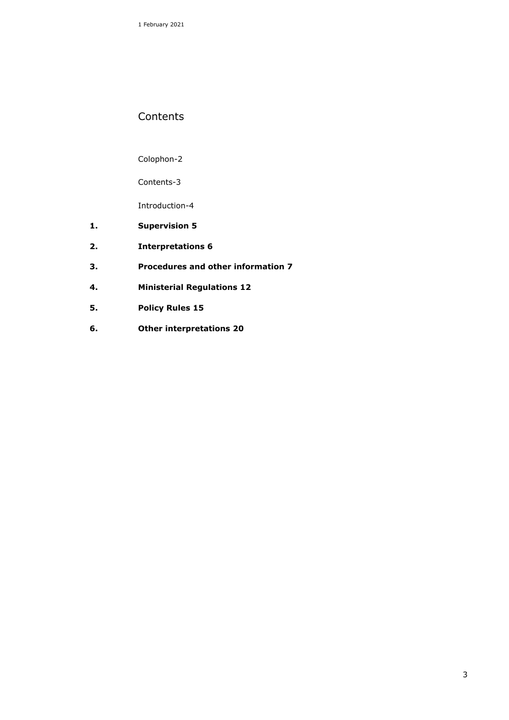1 February 2021

### **Contents**

Colophon-2

Contents-3

Introduction-4

- **1. Supervision 5**
- **2. Interpretations 6**
- **3. Procedures and other information 7**
- **4. Ministerial Regulations 12**
- **5. Policy Rules 15**
- **6. Other interpretations 20**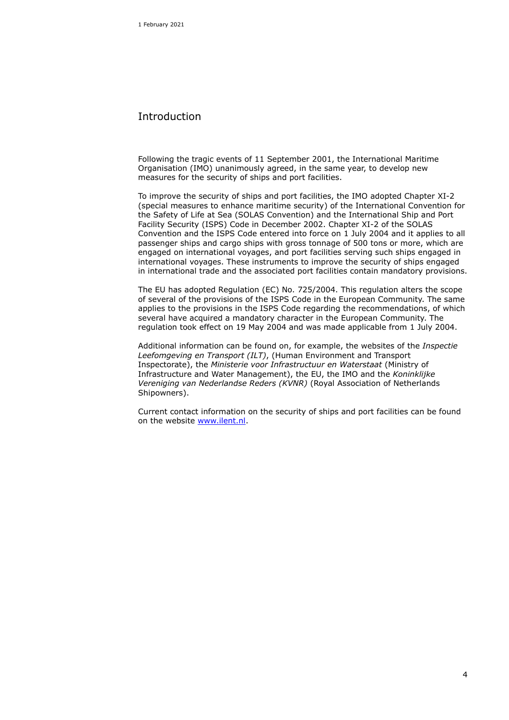### Introduction

Following the tragic events of 11 September 2001, the International Maritime Organisation (IMO) unanimously agreed, in the same year, to develop new measures for the security of ships and port facilities.

To improve the security of ships and port facilities, the IMO adopted Chapter XI-2 (special measures to enhance maritime security) of the International Convention for the Safety of Life at Sea (SOLAS Convention) and the International Ship and Port Facility Security (ISPS) Code in December 2002. Chapter XI-2 of the SOLAS Convention and the ISPS Code entered into force on 1 July 2004 and it applies to all passenger ships and cargo ships with gross tonnage of 500 tons or more, which are engaged on international voyages, and port facilities serving such ships engaged in international voyages. These instruments to improve the security of ships engaged in international trade and the associated port facilities contain mandatory provisions.

The EU has adopted Regulation (EC) No. 725/2004. This regulation alters the scope of several of the provisions of the ISPS Code in the European Community. The same applies to the provisions in the ISPS Code regarding the recommendations, of which several have acquired a mandatory character in the European Community. The regulation took effect on 19 May 2004 and was made applicable from 1 July 2004.

Additional information can be found on, for example, the websites of the *Inspectie Leefomgeving en Transport (ILT)*, (Human Environment and Transport Inspectorate), the *Ministerie voor Infrastructuur en Waterstaat* (Ministry of Infrastructure and Water Management), the EU, the IMO and the *Koninklijke Vereniging van Nederlandse Reders (KVNR)* (Royal Association of Netherlands Shipowners).

Current contact information on the security of ships and port facilities can be found on the website [www.ilent.nl.](http://www.ilent.nl/)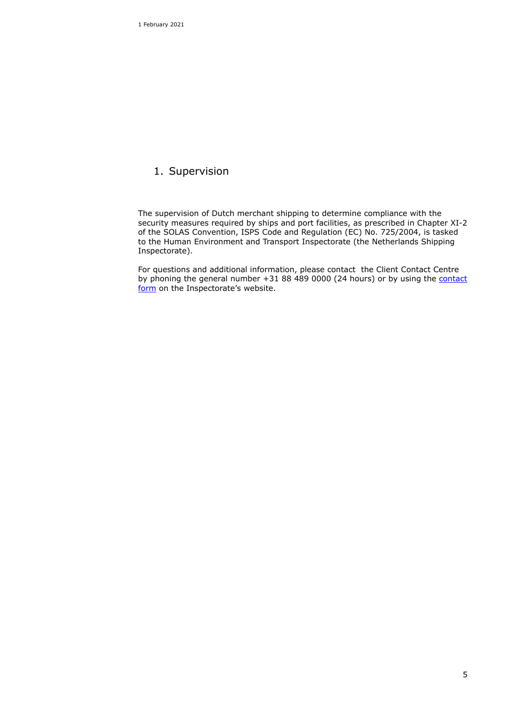1 February 2021

### 1. Supervision

The supervision of Dutch merchant shipping to determine compliance with the security measures required by ships and port facilities, as prescribed in Chapter XI-2 of the SOLAS Convention, ISPS Code and Regulation (EC) No. 725/2004, is tasked to the Human Environment and Transport Inspectorate (the Netherlands Shipping Inspectorate).

For questions and additional information, please contact the Client Contact Centre by phoning the general number  $+31$  88 489 0000 (24 hours) or by using the *contact* [form](https://tijdelijk.ilent.nl/contact/melden/index.aspx) on the Inspectorate's website.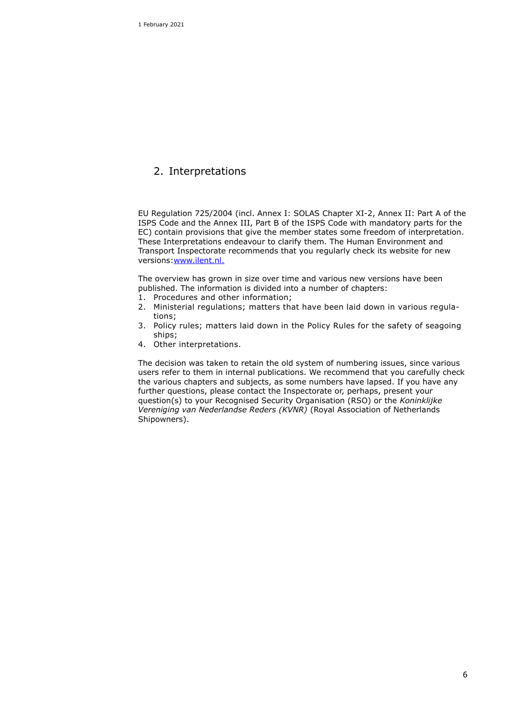## 2. Interpretations

EU Regulation 725/2004 (incl. Annex I: SOLAS Chapter XI-2, Annex II: Part A of the ISPS Code and the Annex III, Part B of the ISPS Code with mandatory parts for the EC) contain provisions that give the member states some freedom of interpretation. These Interpretations endeavour to clarify them. The Human Environment and Transport Inspectorate recommends that you regularly check its website for new versions[:www.ilent.nl.](http://www.ilent.nl/)

The overview has grown in size over time and various new versions have been published. The information is divided into a number of chapters:

- 1. Procedures and other information;
- 2. Ministerial regulations; matters that have been laid down in various regulations;
- 3. Policy rules; matters laid down in the Policy Rules for the safety of seagoing ships;
- 4. Other interpretations.

The decision was taken to retain the old system of numbering issues, since various users refer to them in internal publications. We recommend that you carefully check the various chapters and subjects, as some numbers have lapsed. If you have any further questions, please contact the Inspectorate or, perhaps, present your question(s) to your Recognised Security Organisation (RSO) or the *Koninklijke Vereniging van Nederlandse Reders (KVNR)* (Royal Association of Netherlands Shipowners).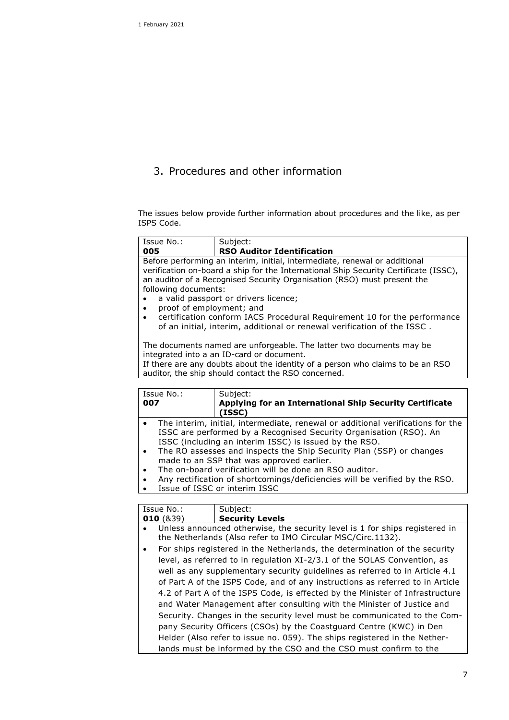## 3. Procedures and other information

The issues below provide further information about procedures and the like, as per ISPS Code.

| Issue No.:<br>005                     | Subject:<br><b>RSO Auditor Identification</b>                                                                                                                                                                                                 |  |  |
|---------------------------------------|-----------------------------------------------------------------------------------------------------------------------------------------------------------------------------------------------------------------------------------------------|--|--|
|                                       |                                                                                                                                                                                                                                               |  |  |
|                                       | Before performing an interim, initial, intermediate, renewal or additional<br>verification on-board a ship for the International Ship Security Certificate (ISSC),<br>an auditor of a Recognised Security Organisation (RSO) must present the |  |  |
| following documents:                  |                                                                                                                                                                                                                                               |  |  |
| $\bullet$                             | a valid passport or drivers licence;                                                                                                                                                                                                          |  |  |
| proof of employment; and<br>$\bullet$ |                                                                                                                                                                                                                                               |  |  |
| $\bullet$                             | certification conform IACS Procedural Requirement 10 for the performance<br>of an initial, interim, additional or renewal verification of the ISSC.                                                                                           |  |  |
|                                       | The documents named are unforgeable. The latter two documents may be<br>integrated into a an ID-card or document.                                                                                                                             |  |  |
|                                       | If there are any doubts about the identity of a person who claims to be an RSO<br>auditor, the ship should contact the RSO concerned.                                                                                                         |  |  |
|                                       |                                                                                                                                                                                                                                               |  |  |
| Issue No.:<br>007                     | Subject:<br>Applying for an International Ship Security Certificate<br>(ISSC)                                                                                                                                                                 |  |  |
| $\bullet$                             | The interim, initial, intermediate, renewal or additional verifications for the<br>ISSC are performed by a Recognised Security Organisation (RSO). An<br>ISSC (including an interim ISSC) is issued by the RSO.                               |  |  |
| $\bullet$                             | The RO assesses and inspects the Ship Security Plan (SSP) or changes<br>made to an SSP that was approved earlier.                                                                                                                             |  |  |
| $\bullet$                             | The on-board verification will be done an RSO auditor.                                                                                                                                                                                        |  |  |
| $\bullet$                             | Any rectification of shortcomings/deficiencies will be verified by the RSO.                                                                                                                                                                   |  |  |
| $\bullet$                             | Issue of ISSC or interim ISSC                                                                                                                                                                                                                 |  |  |
|                                       |                                                                                                                                                                                                                                               |  |  |
| Issue No.:<br>010(839)                | Subject:<br><b>Security Levels</b>                                                                                                                                                                                                            |  |  |
| $\bullet$                             | Unless announced otherwise, the security level is 1 for ships registered in<br>the Netherlands (Also refer to IMO Circular MSC/Circ.1132).                                                                                                    |  |  |
| $\bullet$                             | For ships registered in the Netherlands, the determination of the security                                                                                                                                                                    |  |  |
|                                       | level, as referred to in regulation XI-2/3.1 of the SOLAS Convention, as<br>well as any supplementary security guidelines as referred to in Article 4.1                                                                                       |  |  |
|                                       |                                                                                                                                                                                                                                               |  |  |

of Part A of the ISPS Code, and of any instructions as referred to in Article 4.2 of Part A of the ISPS Code, is effected by the Minister of Infrastructure and Water Management after consulting with the Minister of Justice and Security. Changes in the security level must be communicated to the Company Security Officers (CSOs) by the Coastguard Centre (KWC) in Den Helder (Also refer to issue no. 059). The ships registered in the Netherlands must be informed by the CSO and the CSO must confirm to the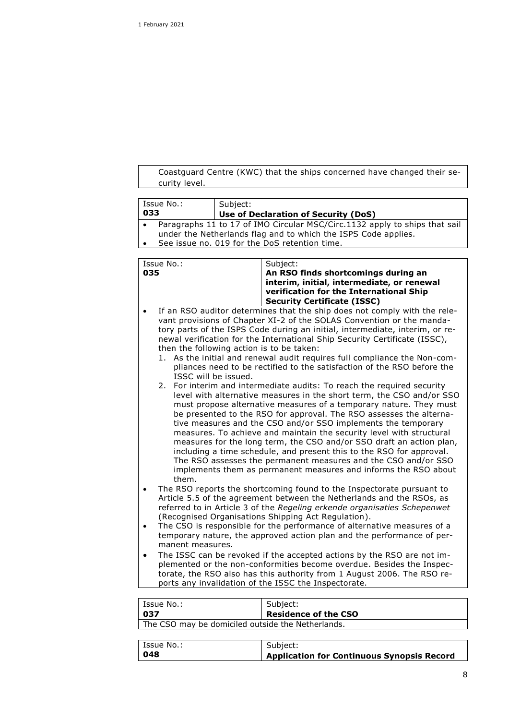Coastguard Centre (KWC) that the ships concerned have changed their security level.

| Issue No.:<br>Subject: |          |                                                                                                                                              |
|------------------------|----------|----------------------------------------------------------------------------------------------------------------------------------------------|
| 033                    |          | Use of Declaration of Security (DoS)                                                                                                         |
| ٠                      |          | Paragraphs 11 to 17 of IMO Circular MSC/Circ.1132 apply to ships that sail                                                                   |
|                        |          | under the Netherlands flag and to which the ISPS Code applies.                                                                               |
|                        |          | See issue no. 019 for the DoS retention time.                                                                                                |
|                        |          |                                                                                                                                              |
| Issue No.:             |          | Subject:                                                                                                                                     |
| 035                    |          | An RSO finds shortcomings during an                                                                                                          |
|                        |          | interim, initial, intermediate, or renewal                                                                                                   |
|                        |          | verification for the International Ship                                                                                                      |
|                        |          | <b>Security Certificate (ISSC)</b>                                                                                                           |
|                        |          | If an RSO auditor determines that the ship does not comply with the rele-                                                                    |
|                        |          | vant provisions of Chapter XI-2 of the SOLAS Convention or the manda-                                                                        |
|                        |          | tory parts of the ISPS Code during an initial, intermediate, interim, or re-                                                                 |
|                        |          | newal verification for the International Ship Security Certificate (ISSC),                                                                   |
|                        |          | then the following action is to be taken:                                                                                                    |
| 1.                     |          | As the initial and renewal audit requires full compliance the Non-com-                                                                       |
|                        |          | pliances need to be rectified to the satisfaction of the RSO before the                                                                      |
| ISSC will be issued.   |          |                                                                                                                                              |
| 2.                     |          | For interim and intermediate audits: To reach the required security                                                                          |
|                        |          | level with alternative measures in the short term, the CSO and/or SSO                                                                        |
|                        |          | must propose alternative measures of a temporary nature. They must                                                                           |
|                        |          | be presented to the RSO for approval. The RSO assesses the alterna-                                                                          |
|                        |          | tive measures and the CSO and/or SSO implements the temporary                                                                                |
|                        |          | measures. To achieve and maintain the security level with structural<br>measures for the long term, the CSO and/or SSO draft an action plan, |
|                        |          | including a time schedule, and present this to the RSO for approval.                                                                         |
|                        |          | The RSO assesses the permanent measures and the CSO and/or SSO                                                                               |
|                        |          | implements them as permanent measures and informs the RSO about                                                                              |
| them.                  |          |                                                                                                                                              |
|                        |          | The RSO reports the shortcoming found to the Inspectorate pursuant to                                                                        |
|                        |          | Article 5.5 of the agreement between the Netherlands and the RSOs, as                                                                        |
|                        |          | referred to in Article 3 of the Regeling erkende organisaties Schepenwet                                                                     |
|                        |          | (Recognised Organisations Shipping Act Regulation).                                                                                          |
|                        |          | The CSO is responsible for the performance of alternative measures of a                                                                      |
|                        |          | temporary nature, the approved action plan and the performance of per-                                                                       |
| manent measures.       |          |                                                                                                                                              |
|                        |          | The ISSC can be revoked if the accepted actions by the RSO are not im-                                                                       |
|                        |          | plemented or the non-conformities become overdue. Besides the Inspec-                                                                        |
|                        |          | torate, the RSO also has this authority from 1 August 2006. The RSO re-                                                                      |
|                        |          | ports any invalidation of the ISSC the Inspectorate.                                                                                         |
|                        |          |                                                                                                                                              |
| Issue No.:             |          | Subject:                                                                                                                                     |
| 037                    |          | <b>Residence of the CSO</b>                                                                                                                  |
|                        |          | The CSO may be domiciled outside the Netherlands.                                                                                            |
|                        |          |                                                                                                                                              |
| Issue No.:             | Subject: |                                                                                                                                              |
| 048                    |          | <b>Application for Continuous Synopsis Record</b>                                                                                            |
|                        |          |                                                                                                                                              |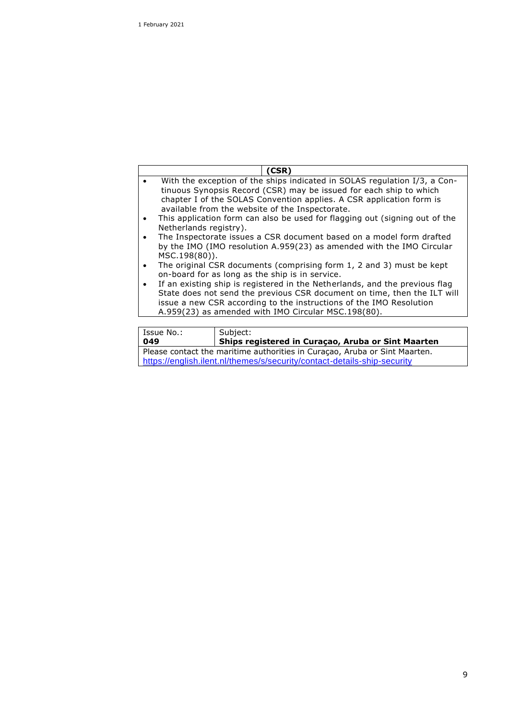|                                                                             | (CSR)                                                                       |  |  |
|-----------------------------------------------------------------------------|-----------------------------------------------------------------------------|--|--|
|                                                                             | With the exception of the ships indicated in SOLAS regulation I/3, a Con-   |  |  |
|                                                                             | tinuous Synopsis Record (CSR) may be issued for each ship to which          |  |  |
|                                                                             | chapter I of the SOLAS Convention applies. A CSR application form is        |  |  |
|                                                                             | available from the website of the Inspectorate.                             |  |  |
|                                                                             | This application form can also be used for flagging out (signing out of the |  |  |
| Netherlands registry).                                                      |                                                                             |  |  |
|                                                                             | The Inspectorate issues a CSR document based on a model form drafted        |  |  |
|                                                                             | by the IMO (IMO resolution A.959(23) as amended with the IMO Circular       |  |  |
|                                                                             | MSC.198(80)).                                                               |  |  |
|                                                                             | The original CSR documents (comprising form 1, 2 and 3) must be kept        |  |  |
| on-board for as long as the ship is in service.                             |                                                                             |  |  |
| If an existing ship is registered in the Netherlands, and the previous flag |                                                                             |  |  |
| State does not send the previous CSR document on time, then the ILT will    |                                                                             |  |  |
| issue a new CSR according to the instructions of the IMO Resolution         |                                                                             |  |  |
| A.959(23) as amended with IMO Circular MSC.198(80).                         |                                                                             |  |  |
|                                                                             |                                                                             |  |  |
| Issue No.:<br>Subject:                                                      |                                                                             |  |  |

| Issue No.:                                                                 | Subject:                                           |  |
|----------------------------------------------------------------------------|----------------------------------------------------|--|
| 049                                                                        | Ships registered in Curaçao, Aruba or Sint Maarten |  |
| Please contact the maritime authorities in Curaçao, Aruba or Sint Maarten. |                                                    |  |
| https://english.ilent.nl/themes/s/security/contact-details-ship-security   |                                                    |  |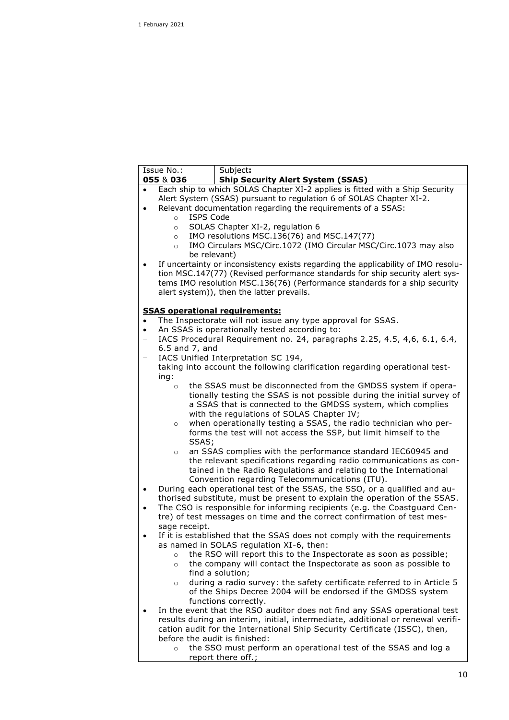|                                | Issue No.:<br>055 & 036     | Subject:<br><b>Ship Security Alert System (SSAS)</b>                                                                        |
|--------------------------------|-----------------------------|-----------------------------------------------------------------------------------------------------------------------------|
|                                |                             | Each ship to which SOLAS Chapter XI-2 applies is fitted with a Ship Security                                                |
|                                |                             | Alert System (SSAS) pursuant to regulation 6 of SOLAS Chapter XI-2.                                                         |
| $\bullet$                      |                             | Relevant documentation regarding the requirements of a SSAS:                                                                |
|                                | <b>ISPS Code</b><br>$\circ$ |                                                                                                                             |
|                                | $\circ$                     | SOLAS Chapter XI-2, regulation 6                                                                                            |
|                                | $\circ$                     | IMO resolutions MSC.136(76) and MSC.147(77)                                                                                 |
|                                | $\circ$                     | IMO Circulars MSC/Circ.1072 (IMO Circular MSC/Circ.1073 may also<br>be relevant)                                            |
|                                |                             | If uncertainty or inconsistency exists regarding the applicability of IMO resolu-                                           |
|                                |                             | tion MSC.147(77) (Revised performance standards for ship security alert sys-                                                |
|                                |                             | tems IMO resolution MSC.136(76) (Performance standards for a ship security                                                  |
|                                |                             | alert system)), then the latter prevails.                                                                                   |
|                                |                             |                                                                                                                             |
|                                |                             | <b>SSAS operational requirements:</b>                                                                                       |
| $\bullet$                      |                             | The Inspectorate will not issue any type approval for SSAS.                                                                 |
| $\bullet$<br>$\qquad \qquad -$ |                             | An SSAS is operationally tested according to:<br>IACS Procedural Requirement no. 24, paragraphs 2.25, 4.5, 4,6, 6.1, 6.4,   |
|                                | $6.5$ and $7$ , and         |                                                                                                                             |
| $\qquad \qquad -$              |                             | IACS Unified Interpretation SC 194,                                                                                         |
|                                |                             | taking into account the following clarification regarding operational test-                                                 |
|                                | ing:                        |                                                                                                                             |
|                                | $\circ$                     | the SSAS must be disconnected from the GMDSS system if opera-                                                               |
|                                |                             | tionally testing the SSAS is not possible during the initial survey of                                                      |
|                                |                             | a SSAS that is connected to the GMDSS system, which complies<br>with the regulations of SOLAS Chapter IV;                   |
|                                | $\circ$                     | when operationally testing a SSAS, the radio technician who per-                                                            |
|                                |                             | forms the test will not access the SSP, but limit himself to the                                                            |
|                                | SSAS;                       |                                                                                                                             |
|                                | $\circ$                     | an SSAS complies with the performance standard IEC60945 and                                                                 |
|                                |                             | the relevant specifications regarding radio communications as con-                                                          |
|                                |                             | tained in the Radio Regulations and relating to the International                                                           |
|                                |                             | Convention regarding Telecommunications (ITU).<br>During each operational test of the SSAS, the SSO, or a qualified and au- |
| $\bullet$                      |                             | thorised substitute, must be present to explain the operation of the SSAS.                                                  |
| $\bullet$                      |                             | The CSO is responsible for informing recipients (e.g. the Coastguard Cen-                                                   |
|                                |                             | tre) of test messages on time and the correct confirmation of test mes-                                                     |
|                                | sage receipt.               |                                                                                                                             |
| ٠                              |                             | If it is established that the SSAS does not comply with the requirements                                                    |
|                                |                             | as named in SOLAS regulation XI-6, then:                                                                                    |
|                                | $\circ$                     | the RSO will report this to the Inspectorate as soon as possible;                                                           |
|                                | $\circ$                     | the company will contact the Inspectorate as soon as possible to<br>find a solution;                                        |
|                                | $\circ$                     | during a radio survey: the safety certificate referred to in Article 5                                                      |
|                                |                             | of the Ships Decree 2004 will be endorsed if the GMDSS system                                                               |
|                                |                             | functions correctly.                                                                                                        |
|                                |                             | In the event that the RSO auditor does not find any SSAS operational test                                                   |
|                                |                             | results during an interim, initial, intermediate, additional or renewal verifi-                                             |
|                                |                             | cation audit for the International Ship Security Certificate (ISSC), then,                                                  |
|                                |                             | before the audit is finished:                                                                                               |
|                                | $\circ$                     | the SSO must perform an operational test of the SSAS and log a                                                              |
|                                |                             | report there off.;                                                                                                          |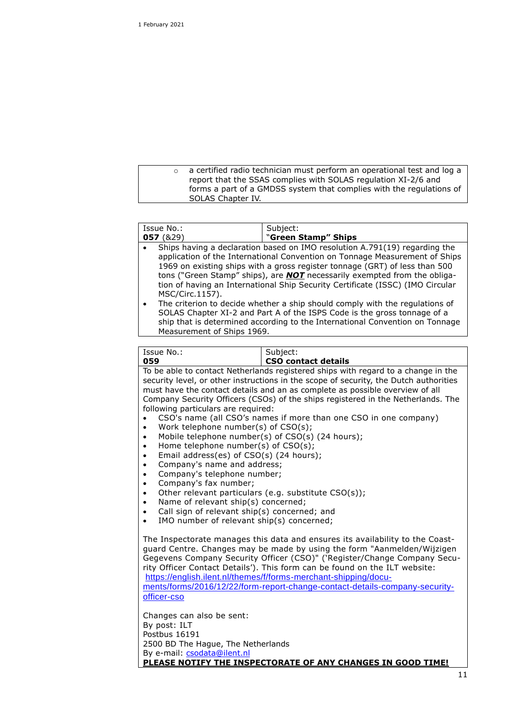o a certified radio technician must perform an operational test and log a report that the SSAS complies with SOLAS regulation XI-2/6 and forms a part of a GMDSS system that complies with the regulations of SOLAS Chapter IV.

| Issue No.:                                                                                                                                                                                                                                                                                                                                                                                                                                                                                                                                                                                                                                         | Subject:                                                                                                                                                                                                                                                                                                                                                                                                                                                                                                                                                                                                                                                   |
|----------------------------------------------------------------------------------------------------------------------------------------------------------------------------------------------------------------------------------------------------------------------------------------------------------------------------------------------------------------------------------------------------------------------------------------------------------------------------------------------------------------------------------------------------------------------------------------------------------------------------------------------------|------------------------------------------------------------------------------------------------------------------------------------------------------------------------------------------------------------------------------------------------------------------------------------------------------------------------------------------------------------------------------------------------------------------------------------------------------------------------------------------------------------------------------------------------------------------------------------------------------------------------------------------------------------|
| 057(829)                                                                                                                                                                                                                                                                                                                                                                                                                                                                                                                                                                                                                                           | "Green Stamp" Ships                                                                                                                                                                                                                                                                                                                                                                                                                                                                                                                                                                                                                                        |
| MSC/Circ.1157).<br>Measurement of Ships 1969.                                                                                                                                                                                                                                                                                                                                                                                                                                                                                                                                                                                                      | Ships having a declaration based on IMO resolution A.791(19) regarding the<br>application of the International Convention on Tonnage Measurement of Ships<br>1969 on existing ships with a gross register tonnage (GRT) of less than 500<br>tons ("Green Stamp" ships), are <b>NOT</b> necessarily exempted from the obliga-<br>tion of having an International Ship Security Certificate (ISSC) (IMO Circular<br>The criterion to decide whether a ship should comply with the regulations of<br>SOLAS Chapter XI-2 and Part A of the ISPS Code is the gross tonnage of a<br>ship that is determined according to the International Convention on Tonnage |
|                                                                                                                                                                                                                                                                                                                                                                                                                                                                                                                                                                                                                                                    |                                                                                                                                                                                                                                                                                                                                                                                                                                                                                                                                                                                                                                                            |
| Issue No.:                                                                                                                                                                                                                                                                                                                                                                                                                                                                                                                                                                                                                                         | Subject:                                                                                                                                                                                                                                                                                                                                                                                                                                                                                                                                                                                                                                                   |
| 059                                                                                                                                                                                                                                                                                                                                                                                                                                                                                                                                                                                                                                                | <b>CSO contact details</b>                                                                                                                                                                                                                                                                                                                                                                                                                                                                                                                                                                                                                                 |
| following particulars are required:<br>Work telephone number(s) of CSO(s);<br>$\bullet$<br>Mobile telephone number(s) of CSO(s) (24 hours);<br>$\bullet$<br>Home telephone number(s) of CSO(s);<br>$\bullet$<br>Email address(es) of CSO(s) (24 hours);<br>$\bullet$<br>Company's name and address;<br>$\bullet$<br>Company's telephone number;<br>$\bullet$<br>Company's fax number;<br>$\bullet$<br>Other relevant particulars (e.g. substitute CSO(s));<br>$\bullet$<br>Name of relevant ship(s) concerned;<br>$\bullet$<br>Call sign of relevant ship(s) concerned; and<br>$\bullet$<br>IMO number of relevant ship(s) concerned;<br>$\bullet$ | To be able to contact Netherlands registered ships with regard to a change in the<br>security level, or other instructions in the scope of security, the Dutch authorities<br>must have the contact details and an as complete as possible overview of all<br>Company Security Officers (CSOs) of the ships registered in the Netherlands. The<br>CSO's name (all CSO's names if more than one CSO in one company)                                                                                                                                                                                                                                         |
| The Inspectorate manages this data and ensures its availability to the Coast-<br>guard Centre. Changes may be made by using the form "Aanmelden/Wijzigen<br>Gegevens Company Security Officer (CSO)" ('Register/Change Company Secu-<br>rity Officer Contact Details'). This form can be found on the ILT website:<br>https://english.ilent.nl/themes/f/forms-merchant-shipping/docu-<br>ments/forms/2016/12/22/form-report-change-contact-details-company-security-<br>officer-cso                                                                                                                                                                |                                                                                                                                                                                                                                                                                                                                                                                                                                                                                                                                                                                                                                                            |
| Changes can also be sent:<br>By post: ILT<br>Postbus 16191<br>2500 BD The Hague, The Netherlands<br>By e-mail: csodata@ilent.nl                                                                                                                                                                                                                                                                                                                                                                                                                                                                                                                    |                                                                                                                                                                                                                                                                                                                                                                                                                                                                                                                                                                                                                                                            |

**PLEASE NOTIFY THE INSPECTORATE OF ANY CHANGES IN GOOD TIME!**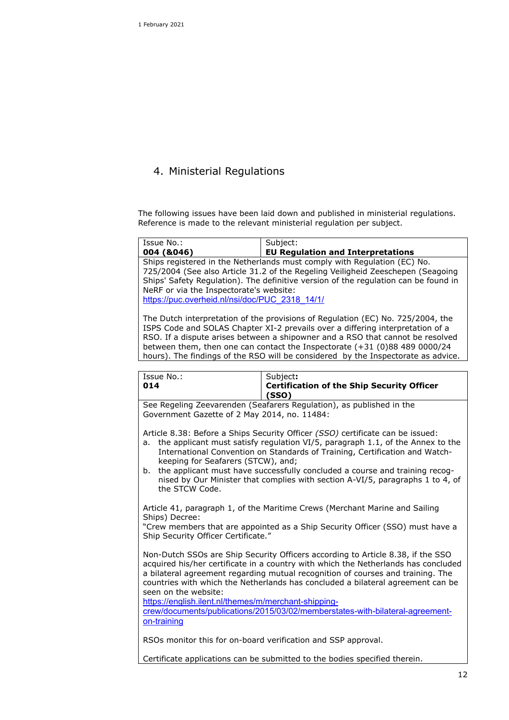## 4. Ministerial Regulations

The following issues have been laid down and published in ministerial regulations. Reference is made to the relevant ministerial regulation per subject.

| Issue No.:                                                                                | Subject:                                                                                                                                                                                                                                           |
|-------------------------------------------------------------------------------------------|----------------------------------------------------------------------------------------------------------------------------------------------------------------------------------------------------------------------------------------------------|
| 004 (&046)                                                                                | <b>EU Regulation and Interpretations</b>                                                                                                                                                                                                           |
| NeRF or via the Inspectorate's website:<br>https://puc.overheid.nl/nsi/doc/PUC 2318 14/1/ | Ships registered in the Netherlands must comply with Regulation (EC) No.<br>725/2004 (See also Article 31.2 of the Regeling Veiligheid Zeeschepen (Seagoing<br>Ships' Safety Regulation). The definitive version of the regulation can be found in |
|                                                                                           |                                                                                                                                                                                                                                                    |

The Dutch interpretation of the provisions of Regulation (EC) No. 725/2004, the ISPS Code and SOLAS Chapter XI-2 prevails over a differing interpretation of a RSO. If a dispute arises between a shipowner and a RSO that cannot be resolved between them, then one can contact the Inspectorate (+31 (0)88 489 0000/24 hours). The findings of the RSO will be considered by the Inspectorate as advice.

| Issue No.:<br>014                                                                                                                                                                                                                                                                                                                                                                                                                                                                                            | Subject:<br><b>Certification of the Ship Security Officer</b><br>(SSO) |  |
|--------------------------------------------------------------------------------------------------------------------------------------------------------------------------------------------------------------------------------------------------------------------------------------------------------------------------------------------------------------------------------------------------------------------------------------------------------------------------------------------------------------|------------------------------------------------------------------------|--|
| See Regeling Zeevarenden (Seafarers Regulation), as published in the<br>Government Gazette of 2 May 2014, no. 11484:                                                                                                                                                                                                                                                                                                                                                                                         |                                                                        |  |
| Article 8.38: Before a Ships Security Officer (SSO) certificate can be issued:<br>the applicant must satisfy regulation VI/5, paragraph 1.1, of the Annex to the<br>a.<br>International Convention on Standards of Training, Certification and Watch-<br>keeping for Seafarers (STCW), and;<br>the applicant must have successfully concluded a course and training recog-<br>b.<br>nised by Our Minister that complies with section A-VI/5, paragraphs 1 to 4, of                                           |                                                                        |  |
| the STCW Code.<br>Article 41, paragraph 1, of the Maritime Crews (Merchant Marine and Sailing<br>Ships) Decree:<br>"Crew members that are appointed as a Ship Security Officer (SSO) must have a<br>Ship Security Officer Certificate."                                                                                                                                                                                                                                                                      |                                                                        |  |
| Non-Dutch SSOs are Ship Security Officers according to Article 8.38, if the SSO<br>acquired his/her certificate in a country with which the Netherlands has concluded<br>a bilateral agreement regarding mutual recognition of courses and training. The<br>countries with which the Netherlands has concluded a bilateral agreement can be<br>seen on the website:<br>https://english.ilent.nl/themes/m/merchant-shipping-<br>crew/documents/publications/2015/03/02/memberstates-with-bilateral-agreement- |                                                                        |  |
| on-training<br>RSOs monitor this for on-board verification and SSP approval.                                                                                                                                                                                                                                                                                                                                                                                                                                 |                                                                        |  |
| Certificate applications can be submitted to the bodies specified therein.                                                                                                                                                                                                                                                                                                                                                                                                                                   |                                                                        |  |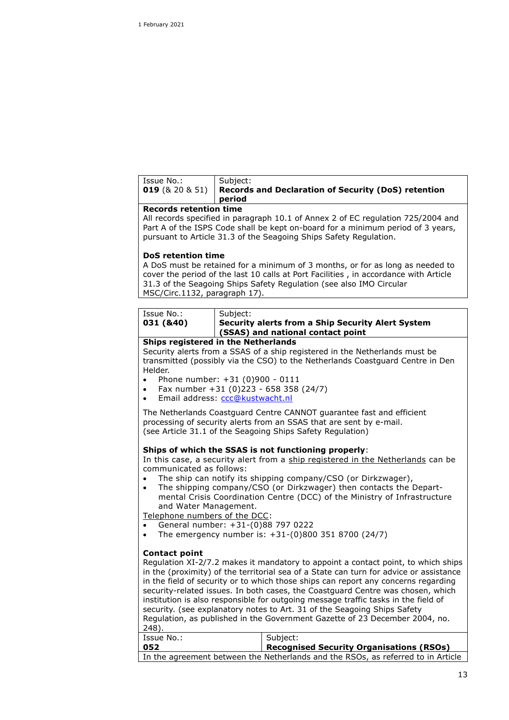| Issue No.: | Subject:                                                                     |
|------------|------------------------------------------------------------------------------|
|            | 019 ( $\&$ 20 $\&$ 51)   Records and Declaration of Security (DoS) retention |
|            | period                                                                       |

#### **Records retention time**

All records specified in paragraph 10.1 of Annex 2 of EC regulation 725/2004 and Part A of the ISPS Code shall be kept on-board for a minimum period of 3 years, pursuant to Article 31.3 of the Seagoing Ships Safety Regulation.

#### **DoS retention time**

A DoS must be retained for a minimum of 3 months, or for as long as needed to cover the period of the last 10 calls at Port Facilities , in accordance with Article 31.3 of the Seagoing Ships Safety Regulation (see also IMO Circular MSC/Circ.1132, paragraph 17).

| Issue No.:                          | Subiect:                                                 |  |
|-------------------------------------|----------------------------------------------------------|--|
| 031 (&40)                           | <b>Security alerts from a Ship Security Alert System</b> |  |
|                                     | (SSAS) and national contact point                        |  |
| Ships registered in the Netherlands |                                                          |  |

#### Security alerts from a SSAS of a ship registered in the Netherlands must be transmitted (possibly via the CSO) to the Netherlands Coastguard Centre in Den Helder.

- Phone number:  $+31$  (0)900 0111
- Fax number +31 (0)223 658 358 (24/7)
- Email address: [ccc@kustwacht.nl](mailto:ccc@kustwacht.nl)

The Netherlands Coastguard Centre CANNOT guarantee fast and efficient processing of security alerts from an SSAS that are sent by e-mail. (see Article 31.1 of the Seagoing Ships Safety Regulation)

#### **Ships of which the SSAS is not functioning properly**:

In this case, a security alert from a ship registered in the Netherlands can be communicated as follows:

- The ship can notify its shipping company/CSO (or Dirkzwager),
- The shipping company/CSO (or Dirkzwager) then contacts the Departmental Crisis Coordination Centre (DCC) of the Ministry of Infrastructure and Water Management.

Telephone numbers of the DCC:

- General number: +31-(0)88 797 0222
- The emergency number is: +31-(0)800 351 8700 (24/7)

#### **Contact point**

Regulation XI-2/7.2 makes it mandatory to appoint a contact point, to which ships in the (proximity) of the territorial sea of a State can turn for advice or assistance in the field of security or to which those ships can report any concerns regarding security-related issues. In both cases, the Coastguard Centre was chosen, which institution is also responsible for outgoing message traffic tasks in the field of security. (see explanatory notes to Art. 31 of the Seagoing Ships Safety Regulation, as published in the Government Gazette of 23 December 2004, no. 248).

| Issue No.: | Subiect:                                                                         |
|------------|----------------------------------------------------------------------------------|
| 052        | Recognised Security Organisations (RSOs)                                         |
|            | In the agreement between the Netherlands and the RSOs, as referred to in Article |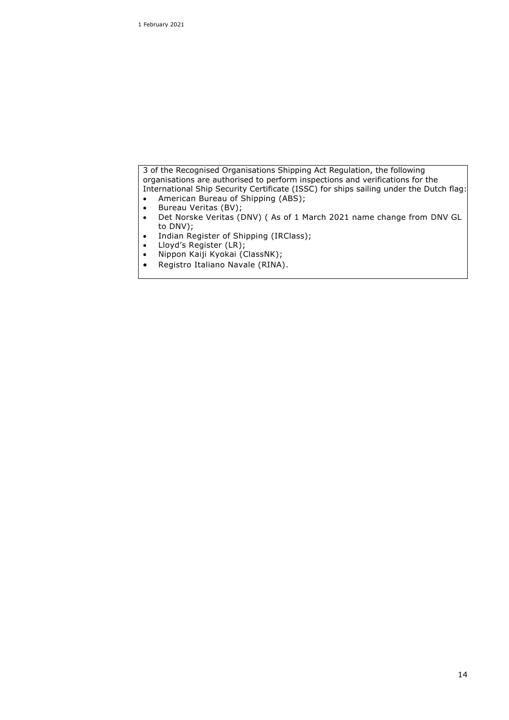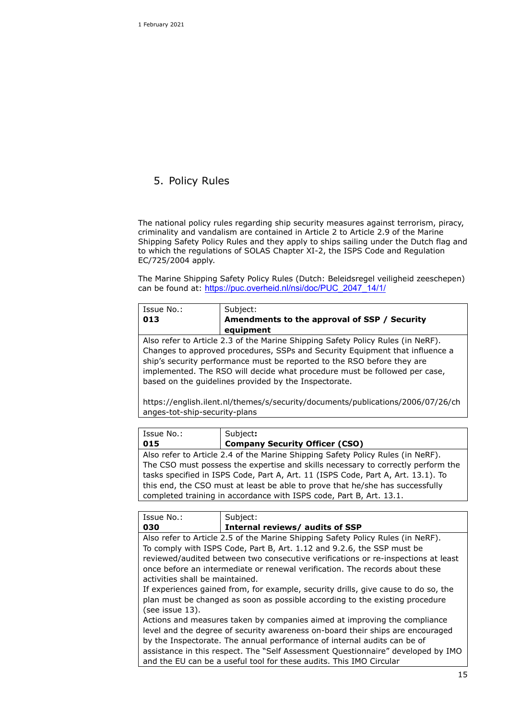# 5. Policy Rules

The national policy rules regarding ship security measures against terrorism, piracy, criminality and vandalism are contained in Article 2 to Article 2.9 of the Marine Shipping Safety Policy Rules and they apply to ships sailing under the Dutch flag and to which the regulations of SOLAS Chapter XI-2, the ISPS Code and Regulation EC/725/2004 apply.

The Marine Shipping Safety Policy Rules (Dutch: Beleidsregel veiligheid zeeschepen) can be found at: [https://puc.overheid.nl/nsi/doc/PUC\\_2047\\_14/1/](https://puc.overheid.nl/nsi/doc/PUC_2047_14/1/)

| Issue No.:                                                                                                                                                                                                                                                                                                                                                                        | Subject:                                                                        |  |  |
|-----------------------------------------------------------------------------------------------------------------------------------------------------------------------------------------------------------------------------------------------------------------------------------------------------------------------------------------------------------------------------------|---------------------------------------------------------------------------------|--|--|
| 013                                                                                                                                                                                                                                                                                                                                                                               | Amendments to the approval of SSP / Security                                    |  |  |
|                                                                                                                                                                                                                                                                                                                                                                                   | equipment                                                                       |  |  |
| Also refer to Article 2.3 of the Marine Shipping Safety Policy Rules (in NeRF).<br>Changes to approved procedures, SSPs and Security Equipment that influence a<br>ship's security performance must be reported to the RSO before they are<br>implemented. The RSO will decide what procedure must be followed per case,<br>based on the guidelines provided by the Inspectorate. |                                                                                 |  |  |
|                                                                                                                                                                                                                                                                                                                                                                                   | https://english.ilent.nl/themes/s/security/documents/publications/2006/07/26/ch |  |  |
| anges-tot-ship-security-plans                                                                                                                                                                                                                                                                                                                                                     |                                                                                 |  |  |
|                                                                                                                                                                                                                                                                                                                                                                                   |                                                                                 |  |  |
| Issue No.:                                                                                                                                                                                                                                                                                                                                                                        | Subject:                                                                        |  |  |
| 015                                                                                                                                                                                                                                                                                                                                                                               | <b>Company Security Officer (CSO)</b>                                           |  |  |
|                                                                                                                                                                                                                                                                                                                                                                                   | Also refer to Article 2.4 of the Marine Shipping Safety Policy Rules (in NeRF). |  |  |
| The CSO must possess the expertise and skills necessary to correctly perform the                                                                                                                                                                                                                                                                                                  |                                                                                 |  |  |
| tasks specified in ISPS Code, Part A, Art. 11 (ISPS Code, Part A, Art. 13.1). To                                                                                                                                                                                                                                                                                                  |                                                                                 |  |  |
| this end, the CSO must at least be able to prove that he/she has successfully                                                                                                                                                                                                                                                                                                     |                                                                                 |  |  |
| completed training in accordance with ISPS code, Part B, Art. 13.1.                                                                                                                                                                                                                                                                                                               |                                                                                 |  |  |
|                                                                                                                                                                                                                                                                                                                                                                                   |                                                                                 |  |  |
| Issue No.:                                                                                                                                                                                                                                                                                                                                                                        | Subject:                                                                        |  |  |
| 030                                                                                                                                                                                                                                                                                                                                                                               | Internal reviews/ audits of SSP                                                 |  |  |
| Also refer to Article 2.5 of the Marine Shipping Safety Policy Rules (in NeRF).                                                                                                                                                                                                                                                                                                   |                                                                                 |  |  |
|                                                                                                                                                                                                                                                                                                                                                                                   | To comply with ISPS Code, Part B, Art. 1.12 and 9.2.6, the SSP must be          |  |  |

reviewed/audited between two consecutive verifications or re-inspections at least once before an intermediate or renewal verification. The records about these activities shall be maintained.

If experiences gained from, for example, security drills, give cause to do so, the plan must be changed as soon as possible according to the existing procedure (see issue 13).

Actions and measures taken by companies aimed at improving the compliance level and the degree of security awareness on-board their ships are encouraged by the Inspectorate. The annual performance of internal audits can be of assistance in this respect. The "Self Assessment Questionnaire" developed by IMO and the EU can be a useful tool for these audits. This IMO Circular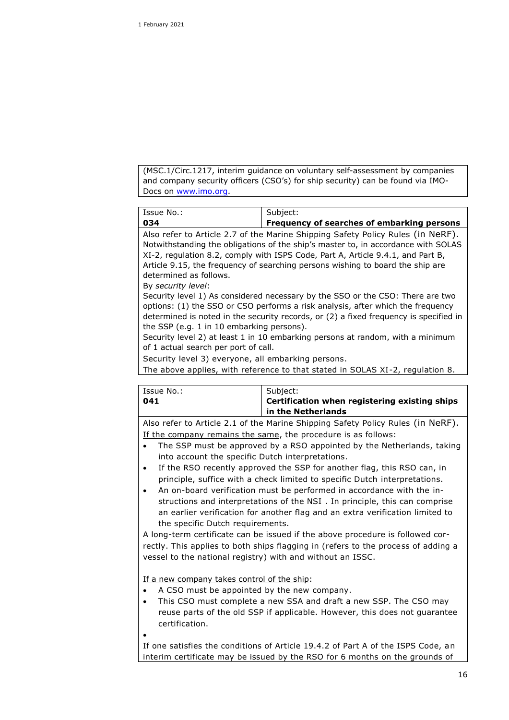(MSC.1/Circ.1217, interim guidance on voluntary self-assessment by companies and company security officers (CSO's) for ship security) can be found via IMO-Docs on [www.imo.org.](http://www.imo.org/)

| Issue No.:                                                                                                                                                        | Subject:                                   |  |
|-------------------------------------------------------------------------------------------------------------------------------------------------------------------|--------------------------------------------|--|
| 034                                                                                                                                                               | Frequency of searches of embarking persons |  |
| Also refer to Article 2.7 of the Marine Shipping Safety Policy Rules (in NeRF).                                                                                   |                                            |  |
| Notwithstanding the obligations of the ship's master to, in accordance with SOLAS                                                                                 |                                            |  |
| XI-2, regulation 8.2, comply with ISPS Code, Part A, Article 9.4.1, and Part B,<br>Article 9.15, the frequency of searching persons wishing to board the ship are |                                            |  |
| determined as follows.                                                                                                                                            |                                            |  |
| By security level:                                                                                                                                                |                                            |  |

Security level 1) As considered necessary by the SSO or the CSO: There are two options: (1) the SSO or CSO performs a risk analysis, after which the frequency determined is noted in the security records, or (2) a fixed frequency is specified in the SSP (e.g. 1 in 10 embarking persons).

Security level 2) at least 1 in 10 embarking persons at random, with a minimum of 1 actual search per port of call.

Security level 3) everyone, all embarking persons.

The above applies, with reference to that stated in SOLAS XI-2, regulation 8.

| Issue No.: | Subject:                                                                       |
|------------|--------------------------------------------------------------------------------|
| 041        | Certification when registering existing ships                                  |
|            | in the Netherlands                                                             |
|            | Ales refer to Article 3.1 of the Marine Chinning Cafety Deliay Dulce (in NoDE) |

Also refer to Article 2.1 of the Marine Shipping Safety Policy Rules (in NeRF). If the company remains the same, the procedure is as follows:

- The SSP must be approved by a RSO appointed by the Netherlands, taking into account the specific Dutch interpretations.
- If the RSO recently approved the SSP for another flag, this RSO can, in principle, suffice with a check limited to specific Dutch interpretations.
- An on-board verification must be performed in accordance with the instructions and interpretations of the NSI . In principle, this can comprise an earlier verification for another flag and an extra verification limited to the specific Dutch requirements.

A long-term certificate can be issued if the above procedure is followed correctly. This applies to both ships flagging in (refers to the process of adding a vessel to the national registry) with and without an ISSC.

If a new company takes control of the ship:

- A CSO must be appointed by the new company.
- This CSO must complete a new SSA and draft a new SSP. The CSO may reuse parts of the old SSP if applicable. However, this does not guarantee certification.
- $\bullet$

If one satisfies the conditions of Article 19.4.2 of Part A of the ISPS Code, an interim certificate may be issued by the RSO for 6 months on the grounds of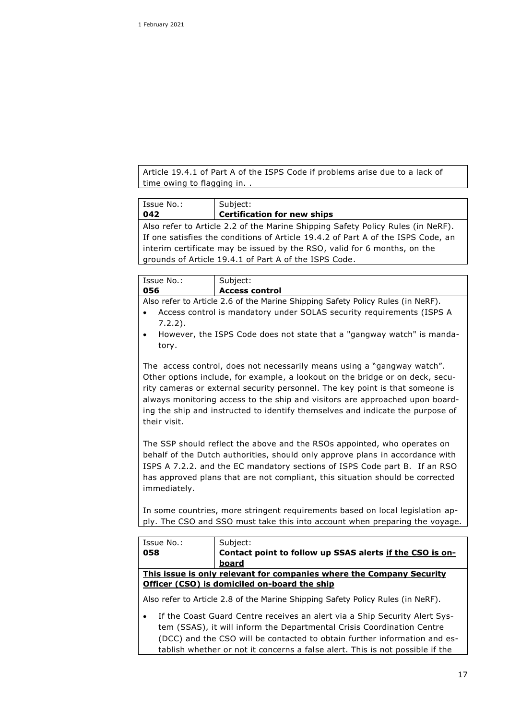Article 19.4.1 of Part A of the ISPS Code if problems arise due to a lack of time owing to flagging in. .

| Issue No.:                                                                       | Subject:                           |  |
|----------------------------------------------------------------------------------|------------------------------------|--|
| 042                                                                              | <b>Certification for new ships</b> |  |
|                                                                                  |                                    |  |
| Also refer to Article 2.2 of the Marine Shipping Safety Policy Rules (in NeRF).  |                                    |  |
| If one satisfies the conditions of Article 19.4.2 of Part A of the ISPS Code, an |                                    |  |
| interim certificate may be issued by the RSO, valid for 6 months, on the         |                                    |  |
| grounds of Article 19.4.1 of Part A of the ISPS Code.                            |                                    |  |
|                                                                                  |                                    |  |

| Issue No.: | Subject:                                    |
|------------|---------------------------------------------|
| 056        | <b>Access control</b>                       |
| . .        | .<br>_ _ _ _<br>.<br>$  -$<br>$\sim$ $\sim$ |

Also refer to Article 2.6 of the Marine Shipping Safety Policy Rules (in NeRF).

- Access control is mandatory under SOLAS security requirements (ISPS A 7.2.2).
- However, the ISPS Code does not state that a "gangway watch" is mandatory.

The access control, does not necessarily means using a "gangway watch". Other options include, for example, a lookout on the bridge or on deck, security cameras or external security personnel. The key point is that someone is always monitoring access to the ship and visitors are approached upon boarding the ship and instructed to identify themselves and indicate the purpose of their visit.

The SSP should reflect the above and the RSOs appointed, who operates on behalf of the Dutch authorities, should only approve plans in accordance with ISPS A 7.2.2. and the EC mandatory sections of ISPS Code part B. If an RSO has approved plans that are not compliant, this situation should be corrected immediately.

In some countries, more stringent requirements based on local legislation apply. The CSO and SSO must take this into account when preparing the voyage.

| Issue No.:                                                             | Subject:                                                                        |  |
|------------------------------------------------------------------------|---------------------------------------------------------------------------------|--|
| 058                                                                    | Contact point to follow up SSAS alerts if the CSO is on-                        |  |
|                                                                        | board                                                                           |  |
| This issue is only relevant for companies where the Company Security   |                                                                                 |  |
| Officer (CSO) is domiciled on-board the ship                           |                                                                                 |  |
|                                                                        | Also refer to Article 2.8 of the Marine Shipping Safety Policy Rules (in NeRF). |  |
|                                                                        | If the Coast Guard Centre receives an alert via a Ship Security Alert Sys-      |  |
| tem (SSAS), it will inform the Departmental Crisis Coordination Centre |                                                                                 |  |
|                                                                        | (DCC) and the CSO will be contacted to obtain further information and es-       |  |

tablish whether or not it concerns a false alert. This is not possible if the

17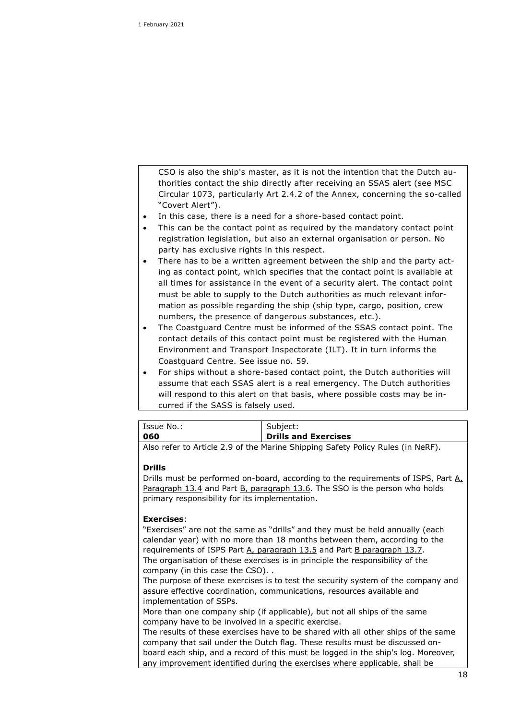CSO is also the ship's master, as it is not the intention that the Dutch authorities contact the ship directly after receiving an SSAS alert (see MSC Circular 1073, particularly Art 2.4.2 of the Annex, concerning the so-called "Covert Alert").

- In this case, there is a need for a shore-based contact point.
- This can be the contact point as required by the mandatory contact point registration legislation, but also an external organisation or person. No party has exclusive rights in this respect.
- There has to be a written agreement between the ship and the party acting as contact point, which specifies that the contact point is available at all times for assistance in the event of a security alert. The contact point must be able to supply to the Dutch authorities as much relevant information as possible regarding the ship (ship type, cargo, position, crew numbers, the presence of dangerous substances, etc.).
- The Coastguard Centre must be informed of the SSAS contact point. The contact details of this contact point must be registered with the Human Environment and Transport Inspectorate (ILT). It in turn informs the Coastguard Centre. See issue no. 59.
- For ships without a shore-based contact point, the Dutch authorities will assume that each SSAS alert is a real emergency. The Dutch authorities will respond to this alert on that basis, where possible costs may be incurred if the SASS is falsely used.

| Issue No.: | Subiect:                                                                        |
|------------|---------------------------------------------------------------------------------|
| 060        | Drills and Exercises                                                            |
|            | Also refer to Article 2.9 of the Marine Shipping Safety Policy Rules (in NeRF). |

#### **Drills**

Drills must be performed on-board, according to the requirements of ISPS, Part  $A_t$ Paragraph 13.4 and Part B, paragraph 13.6. The SSO is the person who holds primary responsibility for its implementation.

#### **Exercises**:

"Exercises" are not the same as "drills" and they must be held annually (each calendar year) with no more than 18 months between them, according to the requirements of ISPS Part A, paragraph 13.5 and Part B paragraph 13.7. The organisation of these exercises is in principle the responsibility of the company (in this case the CSO). .

The purpose of these exercises is to test the security system of the company and assure effective coordination, communications, resources available and implementation of SSPs.

More than one company ship (if applicable), but not all ships of the same company have to be involved in a specific exercise.

The results of these exercises have to be shared with all other ships of the same company that sail under the Dutch flag. These results must be discussed onboard each ship, and a record of this must be logged in the ship's log. Moreover, any improvement identified during the exercises where applicable, shall be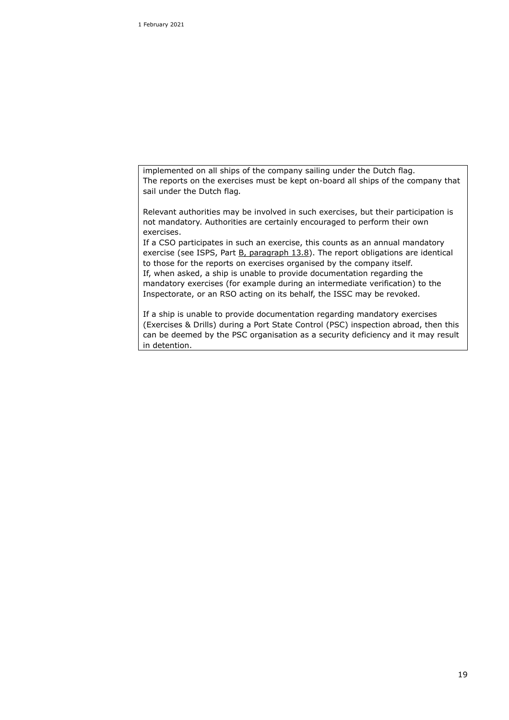implemented on all ships of the company sailing under the Dutch flag. The reports on the exercises must be kept on-board all ships of the company that sail under the Dutch flag*.*

Relevant authorities may be involved in such exercises, but their participation is not mandatory. Authorities are certainly encouraged to perform their own exercises.

If a CSO participates in such an exercise, this counts as an annual mandatory exercise (see ISPS, Part  $B_L$  paragraph 13.8). The report obligations are identical to those for the reports on exercises organised by the company itself. If, when asked, a ship is unable to provide documentation regarding the mandatory exercises (for example during an intermediate verification) to the Inspectorate, or an RSO acting on its behalf, the ISSC may be revoked.

If a ship is unable to provide documentation regarding mandatory exercises (Exercises & Drills) during a Port State Control (PSC) inspection abroad, then this can be deemed by the PSC organisation as a security deficiency and it may result in detention.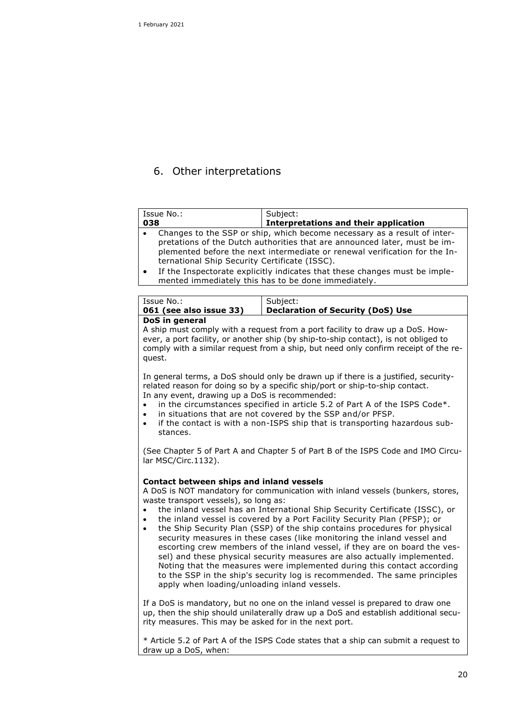# 6. Other interpretations

| Issue No.:<br>038                                                                                                                                                                                                                                                                                                                                                                                                                                                                                                                                                                                                                                                                                                                                                                                                                                        | Subject:<br><b>Interpretations and their application</b>                                                                                                             |  |  |
|----------------------------------------------------------------------------------------------------------------------------------------------------------------------------------------------------------------------------------------------------------------------------------------------------------------------------------------------------------------------------------------------------------------------------------------------------------------------------------------------------------------------------------------------------------------------------------------------------------------------------------------------------------------------------------------------------------------------------------------------------------------------------------------------------------------------------------------------------------|----------------------------------------------------------------------------------------------------------------------------------------------------------------------|--|--|
| Changes to the SSP or ship, which become necessary as a result of inter-<br>$\bullet$<br>pretations of the Dutch authorities that are announced later, must be im-<br>plemented before the next intermediate or renewal verification for the In-<br>ternational Ship Security Certificate (ISSC).<br>If the Inspectorate explicitly indicates that these changes must be imple-<br>$\bullet$<br>mented immediately this has to be done immediately.                                                                                                                                                                                                                                                                                                                                                                                                      |                                                                                                                                                                      |  |  |
|                                                                                                                                                                                                                                                                                                                                                                                                                                                                                                                                                                                                                                                                                                                                                                                                                                                          |                                                                                                                                                                      |  |  |
| Issue No.:<br>061 (see also issue 33)                                                                                                                                                                                                                                                                                                                                                                                                                                                                                                                                                                                                                                                                                                                                                                                                                    | Subject:<br><b>Declaration of Security (DoS) Use</b>                                                                                                                 |  |  |
| DoS in general<br>A ship must comply with a request from a port facility to draw up a DoS. How-<br>ever, a port facility, or another ship (by ship-to-ship contact), is not obliged to<br>comply with a similar request from a ship, but need only confirm receipt of the re-<br>quest.                                                                                                                                                                                                                                                                                                                                                                                                                                                                                                                                                                  |                                                                                                                                                                      |  |  |
| In general terms, a DoS should only be drawn up if there is a justified, security-<br>related reason for doing so by a specific ship/port or ship-to-ship contact.<br>In any event, drawing up a DoS is recommended:<br>in the circumstances specified in article 5.2 of Part A of the ISPS Code*.<br>in situations that are not covered by the SSP and/or PFSP.<br>if the contact is with a non-ISPS ship that is transporting hazardous sub-<br>٠<br>stances.                                                                                                                                                                                                                                                                                                                                                                                          |                                                                                                                                                                      |  |  |
| (See Chapter 5 of Part A and Chapter 5 of Part B of the ISPS Code and IMO Circu-<br>lar MSC/Circ.1132).                                                                                                                                                                                                                                                                                                                                                                                                                                                                                                                                                                                                                                                                                                                                                  |                                                                                                                                                                      |  |  |
| Contact between ships and inland vessels<br>A DoS is NOT mandatory for communication with inland vessels (bunkers, stores,<br>waste transport vessels), so long as:<br>the inland vessel has an International Ship Security Certificate (ISSC), or<br>the inland vessel is covered by a Port Facility Security Plan (PFSP); or<br>the Ship Security Plan (SSP) of the ship contains procedures for physical<br>security measures in these cases (like monitoring the inland vessel and<br>escorting crew members of the inland vessel, if they are on board the ves-<br>sel) and these physical security measures are also actually implemented.<br>Noting that the measures were implemented during this contact according<br>to the SSP in the ship's security log is recommended. The same principles<br>apply when loading/unloading inland vessels. |                                                                                                                                                                      |  |  |
| rity measures. This may be asked for in the next port.                                                                                                                                                                                                                                                                                                                                                                                                                                                                                                                                                                                                                                                                                                                                                                                                   | If a DoS is mandatory, but no one on the inland vessel is prepared to draw one<br>up, then the ship should unilaterally draw up a DoS and establish additional secu- |  |  |
| * Article 5.2 of Part A of the ISPS Code states that a ship can submit a request to<br>draw up a DoS, when:                                                                                                                                                                                                                                                                                                                                                                                                                                                                                                                                                                                                                                                                                                                                              |                                                                                                                                                                      |  |  |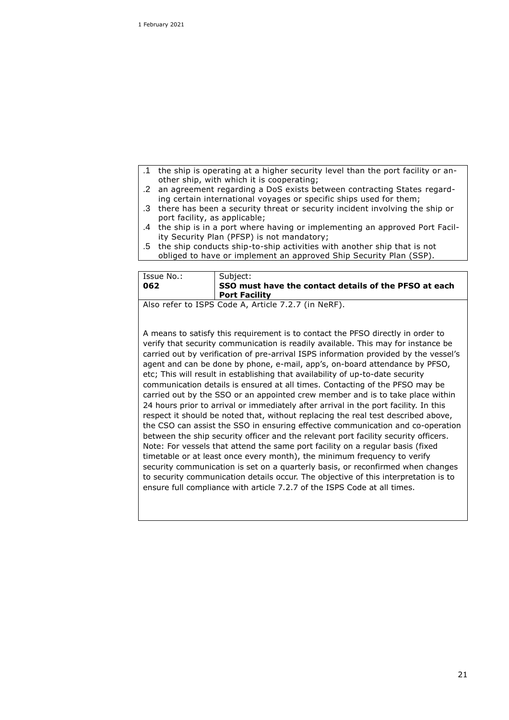- the ship is operating at a higher security level than the port facility or another ship, with which it is cooperating;
- .2 an agreement regarding a DoS exists between contracting States regarding certain international voyages or specific ships used for them;
- .3 there has been a security threat or security incident involving the ship or port facility, as applicable;
- .4 the ship is in a port where having or implementing an approved Port Facility Security Plan (PFSP) is not mandatory;
- .5 the ship conducts ship-to-ship activities with another ship that is not obliged to have or implement an approved Ship Security Plan (SSP).

| l Issue No.:                                          | Subject:                                              |  |
|-------------------------------------------------------|-------------------------------------------------------|--|
| 062                                                   | SSO must have the contact details of the PFSO at each |  |
|                                                       | <b>Port Facility</b>                                  |  |
| I Alexandro Le TODO Orale A Autrice 7 O.7 (in Nichol) |                                                       |  |

Also refer to ISPS Code A, Article 7.2.7 (in NeRF).

A means to satisfy this requirement is to contact the PFSO directly in order to verify that security communication is readily available. This may for instance be carried out by verification of pre-arrival ISPS information provided by the vessel's agent and can be done by phone, e-mail, app's, on-board attendance by PFSO, etc; This will result in establishing that availability of up-to-date security communication details is ensured at all times. Contacting of the PFSO may be carried out by the SSO or an appointed crew member and is to take place within 24 hours prior to arrival or immediately after arrival in the port facility. In this respect it should be noted that, without replacing the real test described above, the CSO can assist the SSO in ensuring effective communication and co-operation between the ship security officer and the relevant port facility security officers. Note: For vessels that attend the same port facility on a regular basis (fixed timetable or at least once every month), the minimum frequency to verify security communication is set on a quarterly basis, or reconfirmed when changes to security communication details occur. The objective of this interpretation is to ensure full compliance with article 7.2.7 of the ISPS Code at all times.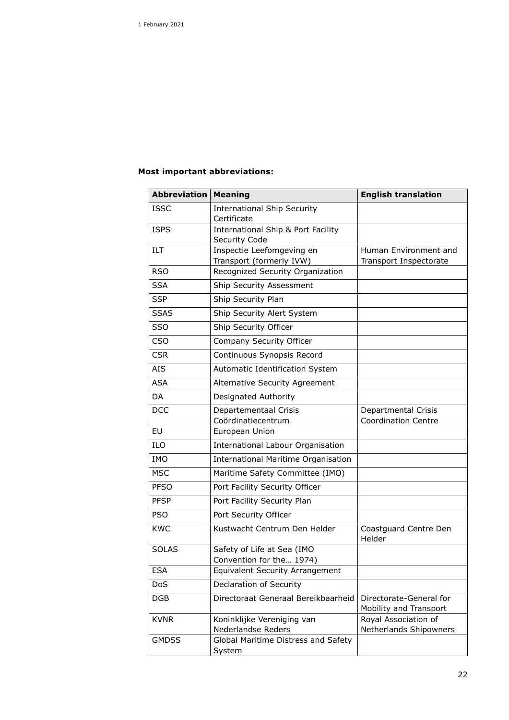### **Most important abbreviations:**

| <b>Abbreviation</b> | <b>Meaning</b>                                         | <b>English translation</b>                        |
|---------------------|--------------------------------------------------------|---------------------------------------------------|
| <b>ISSC</b>         | <b>International Ship Security</b><br>Certificate      |                                                   |
| <b>ISPS</b>         | International Ship & Port Facility<br>Security Code    |                                                   |
| ILT                 | Inspectie Leefomgeving en<br>Transport (formerly IVW)  | Human Environment and<br>Transport Inspectorate   |
| <b>RSO</b>          | Recognized Security Organization                       |                                                   |
| <b>SSA</b>          | Ship Security Assessment                               |                                                   |
| <b>SSP</b>          | Ship Security Plan                                     |                                                   |
| <b>SSAS</b>         | Ship Security Alert System                             |                                                   |
| SSO                 | Ship Security Officer                                  |                                                   |
| <b>CSO</b>          | Company Security Officer                               |                                                   |
| <b>CSR</b>          | Continuous Synopsis Record                             |                                                   |
| <b>AIS</b>          | Automatic Identification System                        |                                                   |
| <b>ASA</b>          | <b>Alternative Security Agreement</b>                  |                                                   |
| DA                  | Designated Authority                                   |                                                   |
| <b>DCC</b>          | Departementaal Crisis<br>Coördinatiecentrum            | Departmental Crisis<br><b>Coordination Centre</b> |
| <b>EU</b>           | European Union                                         |                                                   |
| ILO                 | International Labour Organisation                      |                                                   |
| <b>IMO</b>          | <b>International Maritime Organisation</b>             |                                                   |
| <b>MSC</b>          | Maritime Safety Committee (IMO)                        |                                                   |
| <b>PFSO</b>         | Port Facility Security Officer                         |                                                   |
| <b>PFSP</b>         | Port Facility Security Plan                            |                                                   |
| <b>PSO</b>          | Port Security Officer                                  |                                                   |
| <b>KWC</b>          | Kustwacht Centrum Den Helder                           | Coastguard Centre Den<br>Helder                   |
| <b>SOLAS</b>        | Safety of Life at Sea (IMO<br>Convention for the 1974) |                                                   |
| <b>ESA</b>          | <b>Equivalent Security Arrangement</b>                 |                                                   |
| <b>DoS</b>          | Declaration of Security                                |                                                   |
| DGB                 | Directoraat Generaal Bereikbaarheid                    | Directorate-General for<br>Mobility and Transport |
| <b>KVNR</b>         | Koninklijke Vereniging van<br>Nederlandse Reders       | Royal Association of<br>Netherlands Shipowners    |
| <b>GMDSS</b>        | Global Maritime Distress and Safety<br>System          |                                                   |